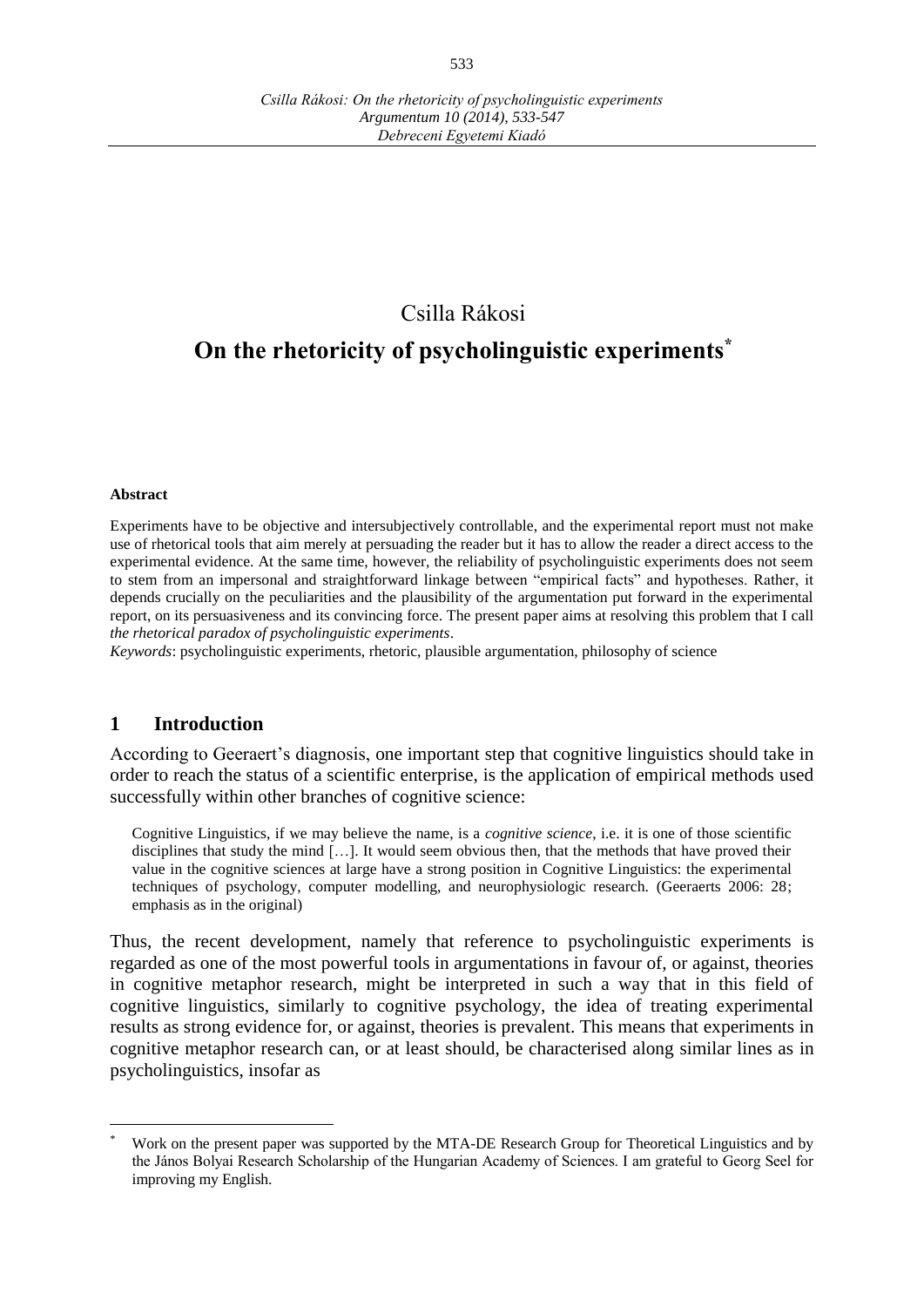## Csilla Rákosi

# **On the rhetoricity of psycholinguistic experiments \***

#### **Abstract**

 $\overline{a}$ 

Experiments have to be objective and intersubjectively controllable, and the experimental report must not make use of rhetorical tools that aim merely at persuading the reader but it has to allow the reader a direct access to the experimental evidence. At the same time, however, the reliability of psycholinguistic experiments does not seem to stem from an impersonal and straightforward linkage between "empirical facts" and hypotheses. Rather, it depends crucially on the peculiarities and the plausibility of the argumentation put forward in the experimental report, on its persuasiveness and its convincing force. The present paper aims at resolving this problem that I call *the rhetorical paradox of psycholinguistic experiments*.

*Keywords*: psycholinguistic experiments, rhetoric, plausible argumentation, philosophy of science

#### **1 Introduction**

According to Geeraert's diagnosis, one important step that cognitive linguistics should take in order to reach the status of a scientific enterprise, is the application of empirical methods used successfully within other branches of cognitive science:

Cognitive Linguistics, if we may believe the name, is a *cognitive science*, i.e. it is one of those scientific disciplines that study the mind […]. It would seem obvious then, that the methods that have proved their value in the cognitive sciences at large have a strong position in Cognitive Linguistics: the experimental techniques of psychology, computer modelling, and neurophysiologic research. (Geeraerts 2006: 28; emphasis as in the original)

Thus, the recent development, namely that reference to psycholinguistic experiments is regarded as one of the most powerful tools in argumentations in favour of, or against, theories in cognitive metaphor research, might be interpreted in such a way that in this field of cognitive linguistics, similarly to cognitive psychology, the idea of treating experimental results as strong evidence for, or against, theories is prevalent. This means that experiments in cognitive metaphor research can, or at least should, be characterised along similar lines as in psycholinguistics, insofar as

Work on the present paper was supported by the MTA-DE Research Group for Theoretical Linguistics and by the János Bolyai Research Scholarship of the Hungarian Academy of Sciences. I am grateful to Georg Seel for improving my English.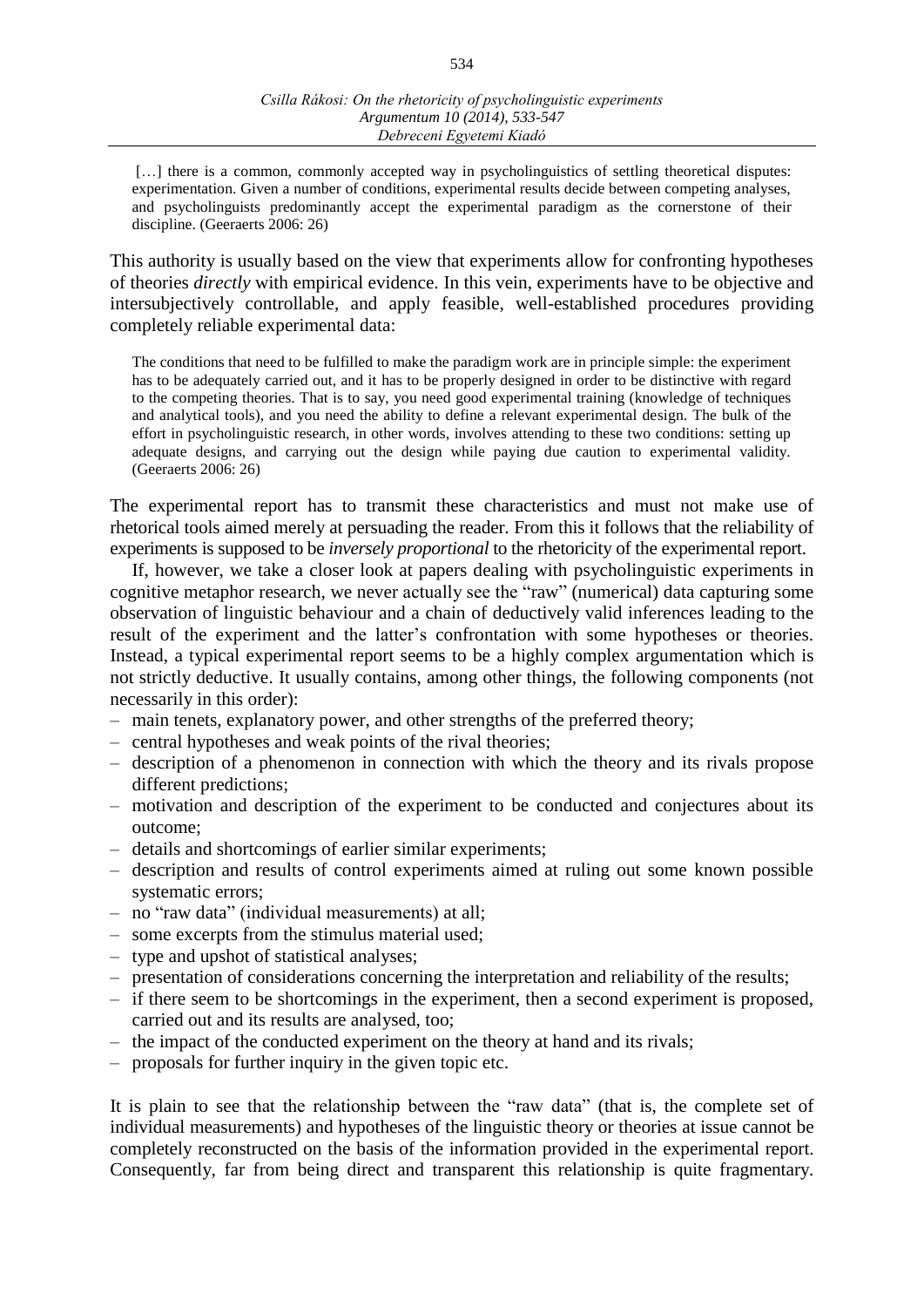[...] there is a common, commonly accepted way in psycholinguistics of settling theoretical disputes: experimentation. Given a number of conditions, experimental results decide between competing analyses, and psycholinguists predominantly accept the experimental paradigm as the cornerstone of their discipline. (Geeraerts 2006: 26)

This authority is usually based on the view that experiments allow for confronting hypotheses of theories *directly* with empirical evidence. In this vein, experiments have to be objective and intersubjectively controllable, and apply feasible, well-established procedures providing completely reliable experimental data:

The conditions that need to be fulfilled to make the paradigm work are in principle simple: the experiment has to be adequately carried out, and it has to be properly designed in order to be distinctive with regard to the competing theories. That is to say, you need good experimental training (knowledge of techniques and analytical tools), and you need the ability to define a relevant experimental design. The bulk of the effort in psycholinguistic research, in other words, involves attending to these two conditions: setting up adequate designs, and carrying out the design while paying due caution to experimental validity. (Geeraerts 2006: 26)

The experimental report has to transmit these characteristics and must not make use of rhetorical tools aimed merely at persuading the reader. From this it follows that the reliability of experiments is supposed to be *inversely proportional* to the rhetoricity of the experimental report.

If, however, we take a closer look at papers dealing with psycholinguistic experiments in cognitive metaphor research, we never actually see the "raw" (numerical) data capturing some observation of linguistic behaviour and a chain of deductively valid inferences leading to the result of the experiment and the latter's confrontation with some hypotheses or theories. Instead, a typical experimental report seems to be a highly complex argumentation which is not strictly deductive. It usually contains, among other things, the following components (not necessarily in this order):

- main tenets, explanatory power, and other strengths of the preferred theory;
- central hypotheses and weak points of the rival theories;
- description of a phenomenon in connection with which the theory and its rivals propose different predictions;
- motivation and description of the experiment to be conducted and conjectures about its outcome;
- details and shortcomings of earlier similar experiments;
- description and results of control experiments aimed at ruling out some known possible systematic errors;
- no "raw data" (individual measurements) at all;
- some excerpts from the stimulus material used;
- type and upshot of statistical analyses;
- presentation of considerations concerning the interpretation and reliability of the results;
- if there seem to be shortcomings in the experiment, then a second experiment is proposed, carried out and its results are analysed, too;
- the impact of the conducted experiment on the theory at hand and its rivals;
- proposals for further inquiry in the given topic etc.

It is plain to see that the relationship between the "raw data" (that is, the complete set of individual measurements) and hypotheses of the linguistic theory or theories at issue cannot be completely reconstructed on the basis of the information provided in the experimental report. Consequently, far from being direct and transparent this relationship is quite fragmentary.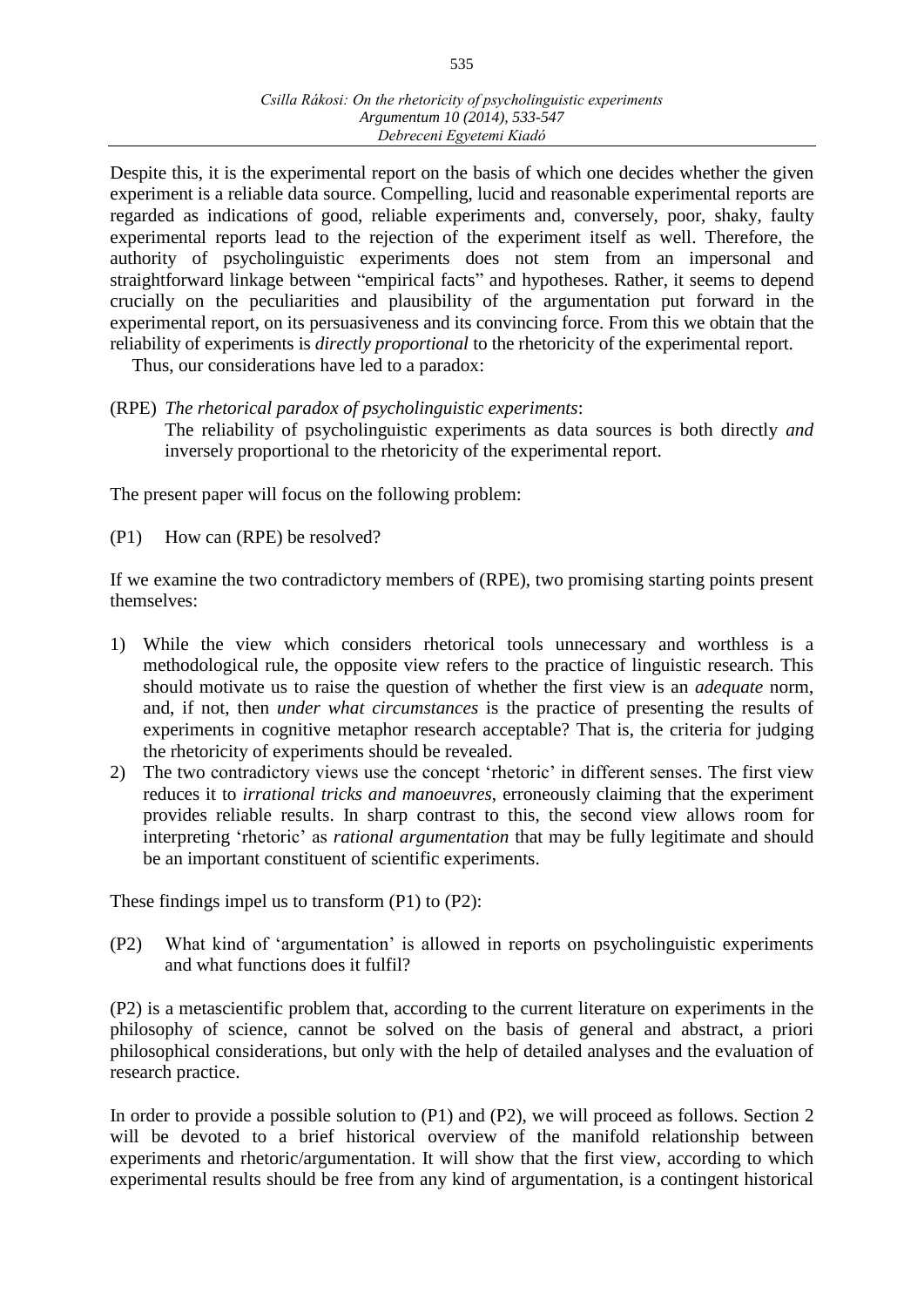Despite this, it is the experimental report on the basis of which one decides whether the given experiment is a reliable data source. Compelling, lucid and reasonable experimental reports are regarded as indications of good, reliable experiments and, conversely, poor, shaky, faulty experimental reports lead to the rejection of the experiment itself as well. Therefore, the authority of psycholinguistic experiments does not stem from an impersonal and straightforward linkage between "empirical facts" and hypotheses. Rather, it seems to depend crucially on the peculiarities and plausibility of the argumentation put forward in the experimental report, on its persuasiveness and its convincing force. From this we obtain that the reliability of experiments is *directly proportional* to the rhetoricity of the experimental report.

Thus, our considerations have led to a paradox:

- (RPE) *The rhetorical paradox of psycholinguistic experiments*:
	- The reliability of psycholinguistic experiments as data sources is both directly *and* inversely proportional to the rhetoricity of the experimental report.

The present paper will focus on the following problem:

(P1) How can (RPE) be resolved?

If we examine the two contradictory members of (RPE), two promising starting points present themselves:

- 1) While the view which considers rhetorical tools unnecessary and worthless is a methodological rule, the opposite view refers to the practice of linguistic research. This should motivate us to raise the question of whether the first view is an *adequate* norm, and, if not, then *under what circumstances* is the practice of presenting the results of experiments in cognitive metaphor research acceptable? That is, the criteria for judging the rhetoricity of experiments should be revealed.
- 2) The two contradictory views use the concept 'rhetoric' in different senses. The first view reduces it to *irrational tricks and manoeuvres*, erroneously claiming that the experiment provides reliable results. In sharp contrast to this, the second view allows room for interpreting 'rhetoric' as *rational argumentation* that may be fully legitimate and should be an important constituent of scientific experiments.

These findings impel us to transform (P1) to (P2):

(P2) What kind of 'argumentation' is allowed in reports on psycholinguistic experiments and what functions does it fulfil?

(P2) is a metascientific problem that, according to the current literature on experiments in the philosophy of science, cannot be solved on the basis of general and abstract, a priori philosophical considerations, but only with the help of detailed analyses and the evaluation of research practice.

In order to provide a possible solution to (P1) and (P2), we will proceed as follows. Section 2 will be devoted to a brief historical overview of the manifold relationship between experiments and rhetoric/argumentation. It will show that the first view, according to which experimental results should be free from any kind of argumentation, is a contingent historical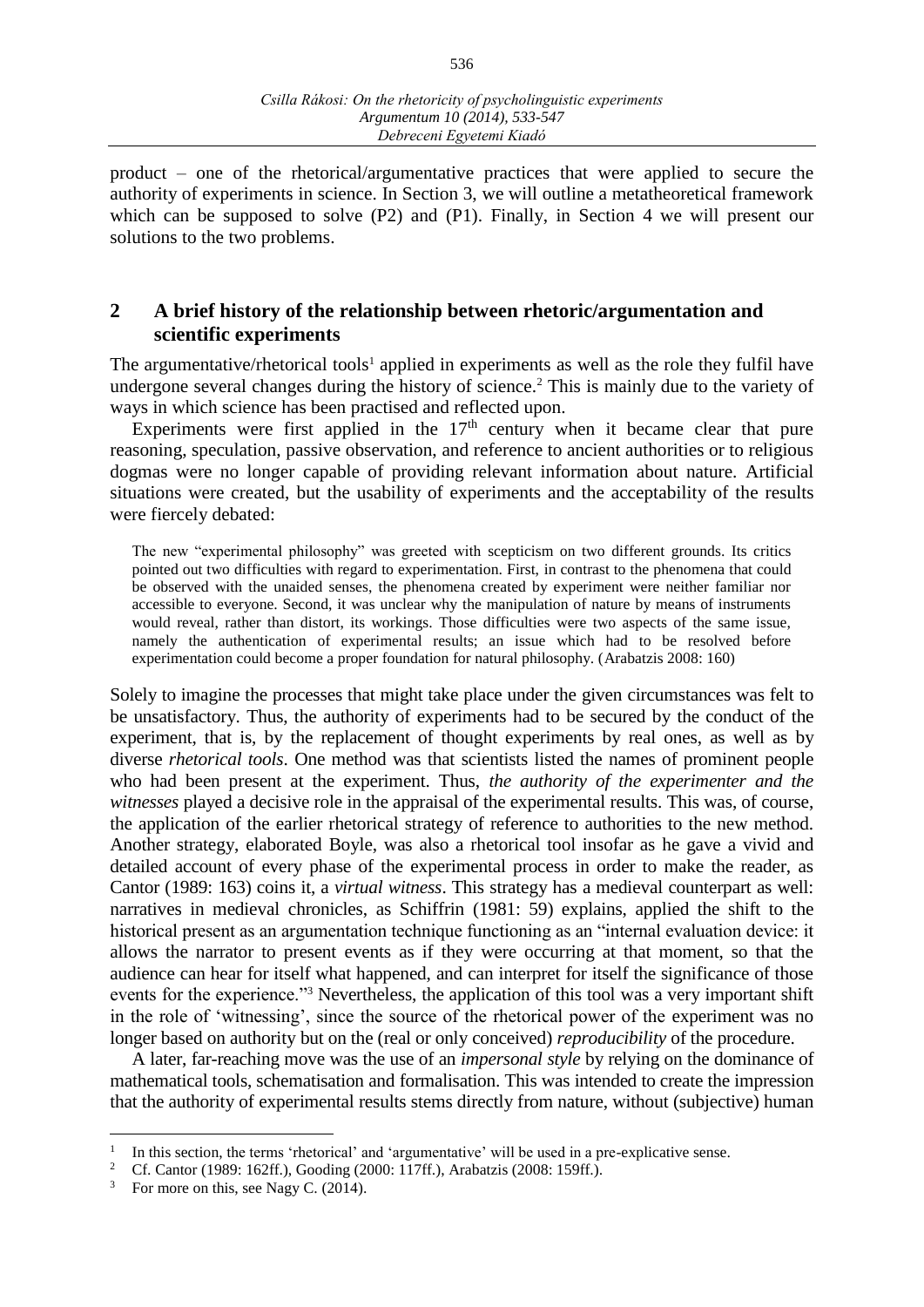product – one of the rhetorical/argumentative practices that were applied to secure the authority of experiments in science. In Section 3, we will outline a metatheoretical framework which can be supposed to solve (P2) and (P1). Finally, in Section 4 we will present our solutions to the two problems.

## **2 A brief history of the relationship between rhetoric/argumentation and scientific experiments**

The argumentative/rhetorical tools<sup>1</sup> applied in experiments as well as the role they fulfil have undergone several changes during the history of science.<sup>2</sup> This is mainly due to the variety of ways in which science has been practised and reflected upon.

Experiments were first applied in the  $17<sup>th</sup>$  century when it became clear that pure reasoning, speculation, passive observation, and reference to ancient authorities or to religious dogmas were no longer capable of providing relevant information about nature. Artificial situations were created, but the usability of experiments and the acceptability of the results were fiercely debated:

The new "experimental philosophy" was greeted with scepticism on two different grounds. Its critics pointed out two difficulties with regard to experimentation. First, in contrast to the phenomena that could be observed with the unaided senses, the phenomena created by experiment were neither familiar nor accessible to everyone. Second, it was unclear why the manipulation of nature by means of instruments would reveal, rather than distort, its workings. Those difficulties were two aspects of the same issue, namely the authentication of experimental results; an issue which had to be resolved before experimentation could become a proper foundation for natural philosophy. (Arabatzis 2008: 160)

Solely to imagine the processes that might take place under the given circumstances was felt to be unsatisfactory. Thus, the authority of experiments had to be secured by the conduct of the experiment, that is, by the replacement of thought experiments by real ones, as well as by diverse *rhetorical tools*. One method was that scientists listed the names of prominent people who had been present at the experiment. Thus, *the authority of the experimenter and the witnesses* played a decisive role in the appraisal of the experimental results. This was, of course, the application of the earlier rhetorical strategy of reference to authorities to the new method. Another strategy, elaborated Boyle, was also a rhetorical tool insofar as he gave a vivid and detailed account of every phase of the experimental process in order to make the reader, as Cantor (1989: 163) coins it, a *virtual witness*. This strategy has a medieval counterpart as well: narratives in medieval chronicles, as Schiffrin (1981: 59) explains, applied the shift to the historical present as an argumentation technique functioning as an "internal evaluation device: it allows the narrator to present events as if they were occurring at that moment, so that the audience can hear for itself what happened, and can interpret for itself the significance of those events for the experience."<sup>3</sup> Nevertheless, the application of this tool was a very important shift in the role of 'witnessing', since the source of the rhetorical power of the experiment was no longer based on authority but on the (real or only conceived) *reproducibility* of the procedure.

A later, far-reaching move was the use of an *impersonal style* by relying on the dominance of mathematical tools, schematisation and formalisation. This was intended to create the impression that the authority of experimental results stems directly from nature, without (subjective) human

 $\overline{a}$ 

<sup>1</sup> In this section, the terms 'rhetorical' and 'argumentative' will be used in a pre-explicative sense.

<sup>&</sup>lt;sup>2</sup> Cf. Cantor (1989: 162ff.), Gooding (2000: 117ff.), Arabatzis (2008: 159ff.).

<sup>&</sup>lt;sup>3</sup> For more on this, see Nagy C. (2014).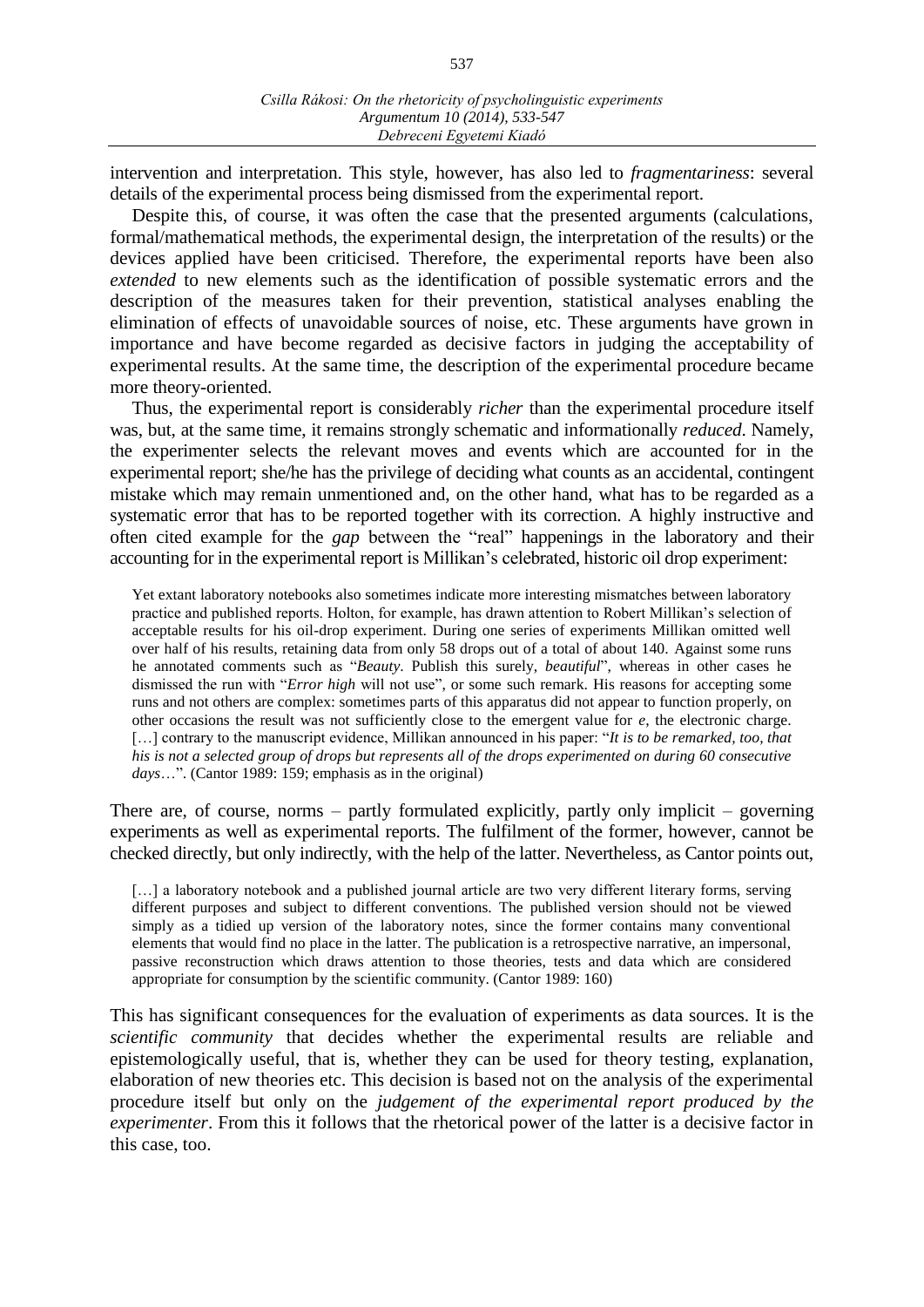intervention and interpretation. This style, however, has also led to *fragmentariness*: several details of the experimental process being dismissed from the experimental report.

Despite this, of course, it was often the case that the presented arguments (calculations, formal/mathematical methods, the experimental design, the interpretation of the results) or the devices applied have been criticised. Therefore, the experimental reports have been also *extended* to new elements such as the identification of possible systematic errors and the description of the measures taken for their prevention, statistical analyses enabling the elimination of effects of unavoidable sources of noise, etc. These arguments have grown in importance and have become regarded as decisive factors in judging the acceptability of experimental results. At the same time, the description of the experimental procedure became more theory-oriented.

Thus, the experimental report is considerably *richer* than the experimental procedure itself was, but, at the same time, it remains strongly schematic and informationally *reduced*. Namely, the experimenter selects the relevant moves and events which are accounted for in the experimental report; she/he has the privilege of deciding what counts as an accidental, contingent mistake which may remain unmentioned and, on the other hand, what has to be regarded as a systematic error that has to be reported together with its correction. A highly instructive and often cited example for the *gap* between the "real" happenings in the laboratory and their accounting for in the experimental report is Millikan's celebrated, historic oil drop experiment:

Yet extant laboratory notebooks also sometimes indicate more interesting mismatches between laboratory practice and published reports. Holton, for example, has drawn attention to Robert Millikan's selection of acceptable results for his oil-drop experiment. During one series of experiments Millikan omitted well over half of his results, retaining data from only 58 drops out of a total of about 140. Against some runs he annotated comments such as "*Beauty*. Publish this surely, *beautiful*", whereas in other cases he dismissed the run with "*Error high* will not use", or some such remark. His reasons for accepting some runs and not others are complex: sometimes parts of this apparatus did not appear to function properly, on other occasions the result was not sufficiently close to the emergent value for *e*, the electronic charge. [...] contrary to the manuscript evidence, Millikan announced in his paper: "*It is to be remarked, too, that his is not a selected group of drops but represents all of the drops experimented on during 60 consecutive days*…". (Cantor 1989: 159; emphasis as in the original)

There are, of course, norms – partly formulated explicitly, partly only implicit – governing experiments as well as experimental reports. The fulfilment of the former, however, cannot be checked directly, but only indirectly, with the help of the latter. Nevertheless, as Cantor points out,

[...] a laboratory notebook and a published journal article are two very different literary forms, serving different purposes and subject to different conventions. The published version should not be viewed simply as a tidied up version of the laboratory notes, since the former contains many conventional elements that would find no place in the latter. The publication is a retrospective narrative, an impersonal, passive reconstruction which draws attention to those theories, tests and data which are considered appropriate for consumption by the scientific community. (Cantor 1989: 160)

This has significant consequences for the evaluation of experiments as data sources. It is the *scientific community* that decides whether the experimental results are reliable and epistemologically useful, that is, whether they can be used for theory testing, explanation, elaboration of new theories etc. This decision is based not on the analysis of the experimental procedure itself but only on the *judgement of the experimental report produced by the experimenter*. From this it follows that the rhetorical power of the latter is a decisive factor in this case, too.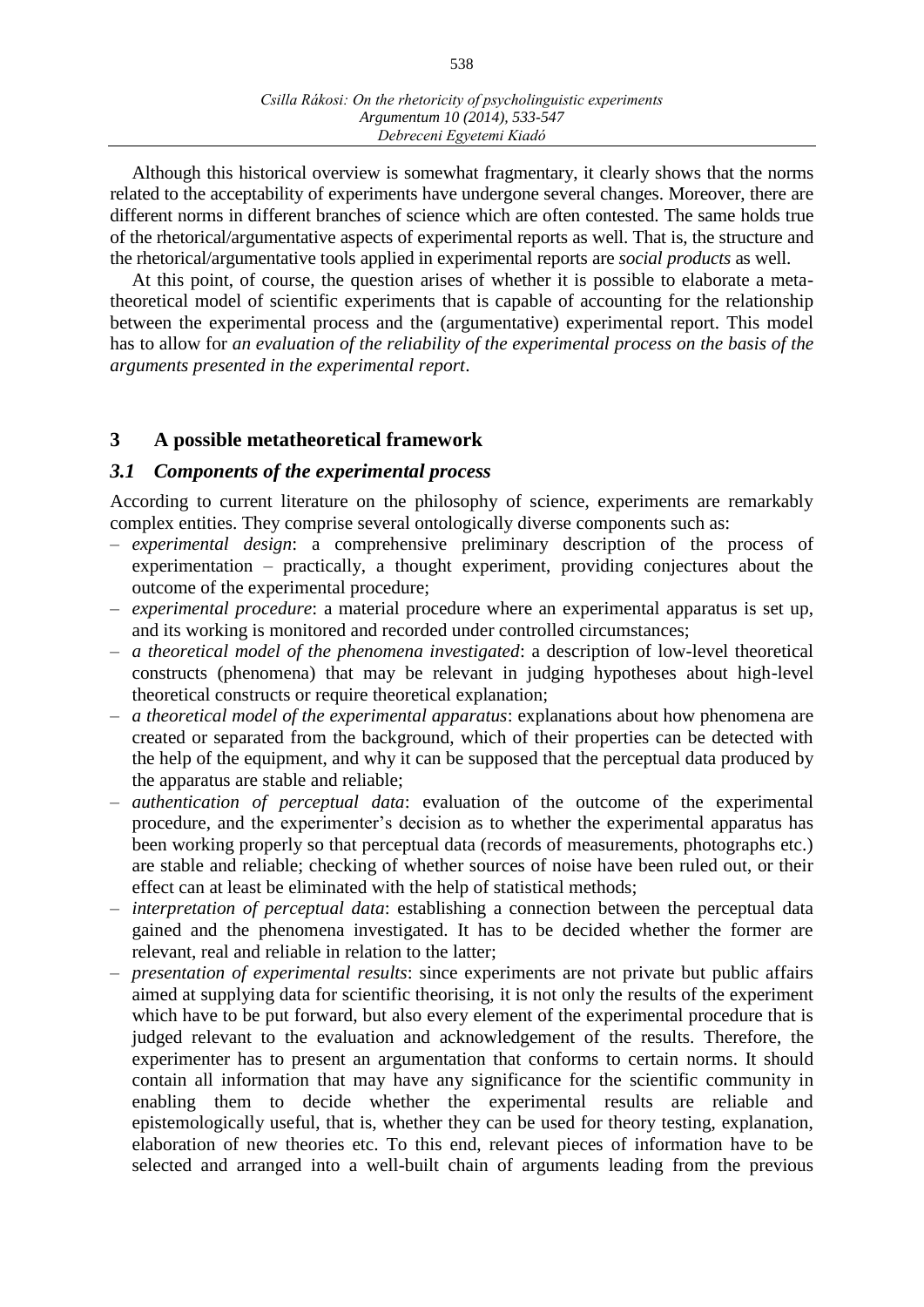Although this historical overview is somewhat fragmentary, it clearly shows that the norms related to the acceptability of experiments have undergone several changes. Moreover, there are different norms in different branches of science which are often contested. The same holds true of the rhetorical/argumentative aspects of experimental reports as well. That is, the structure and the rhetorical/argumentative tools applied in experimental reports are *social products* as well.

At this point, of course, the question arises of whether it is possible to elaborate a metatheoretical model of scientific experiments that is capable of accounting for the relationship between the experimental process and the (argumentative) experimental report. This model has to allow for *an evaluation of the reliability of the experimental process on the basis of the arguments presented in the experimental report*.

## **3 A possible metatheoretical framework**

#### *3.1 Components of the experimental process*

According to current literature on the philosophy of science, experiments are remarkably complex entities. They comprise several ontologically diverse components such as:

- *experimental design*: a comprehensive preliminary description of the process of experimentation – practically, a thought experiment, providing conjectures about the outcome of the experimental procedure;
- *experimental procedure*: a material procedure where an experimental apparatus is set up, and its working is monitored and recorded under controlled circumstances;
- *a theoretical model of the phenomena investigated*: a description of low-level theoretical constructs (phenomena) that may be relevant in judging hypotheses about high-level theoretical constructs or require theoretical explanation;
- *a theoretical model of the experimental apparatus*: explanations about how phenomena are created or separated from the background, which of their properties can be detected with the help of the equipment, and why it can be supposed that the perceptual data produced by the apparatus are stable and reliable;
- *authentication of perceptual data*: evaluation of the outcome of the experimental procedure, and the experimenter's decision as to whether the experimental apparatus has been working properly so that perceptual data (records of measurements, photographs etc.) are stable and reliable; checking of whether sources of noise have been ruled out, or their effect can at least be eliminated with the help of statistical methods;
- *interpretation of perceptual data*: establishing a connection between the perceptual data gained and the phenomena investigated. It has to be decided whether the former are relevant, real and reliable in relation to the latter;
- *presentation of experimental results*: since experiments are not private but public affairs aimed at supplying data for scientific theorising, it is not only the results of the experiment which have to be put forward, but also every element of the experimental procedure that is judged relevant to the evaluation and acknowledgement of the results. Therefore, the experimenter has to present an argumentation that conforms to certain norms. It should contain all information that may have any significance for the scientific community in enabling them to decide whether the experimental results are reliable and epistemologically useful, that is, whether they can be used for theory testing, explanation, elaboration of new theories etc. To this end, relevant pieces of information have to be selected and arranged into a well-built chain of arguments leading from the previous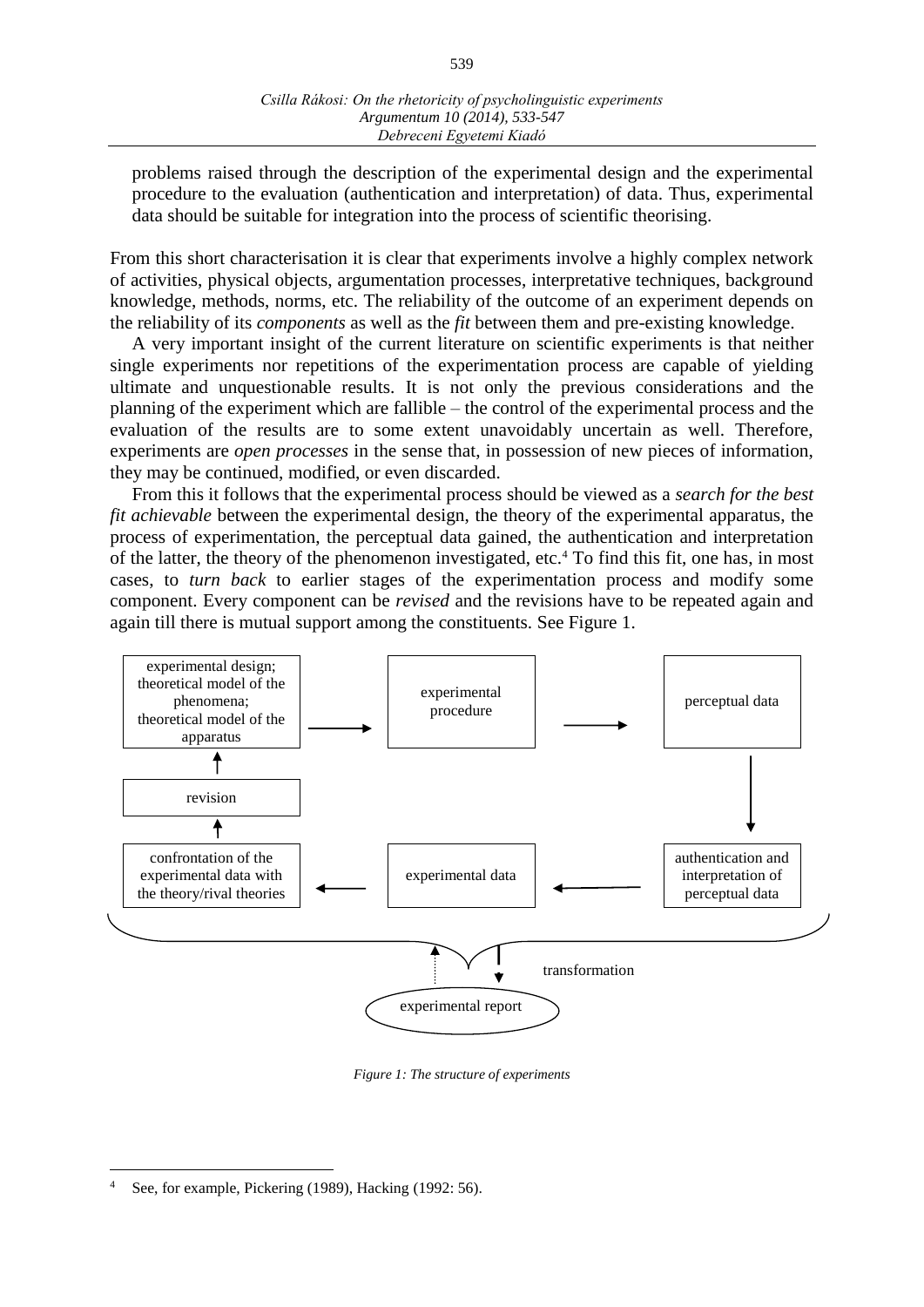problems raised through the description of the experimental design and the experimental procedure to the evaluation (authentication and interpretation) of data. Thus, experimental data should be suitable for integration into the process of scientific theorising.

From this short characterisation it is clear that experiments involve a highly complex network of activities, physical objects, argumentation processes, interpretative techniques, background knowledge, methods, norms, etc. The reliability of the outcome of an experiment depends on the reliability of its *components* as well as the *fit* between them and pre-existing knowledge.

A very important insight of the current literature on scientific experiments is that neither single experiments nor repetitions of the experimentation process are capable of yielding ultimate and unquestionable results. It is not only the previous considerations and the planning of the experiment which are fallible – the control of the experimental process and the evaluation of the results are to some extent unavoidably uncertain as well. Therefore, experiments are *open processes* in the sense that, in possession of new pieces of information, they may be continued, modified, or even discarded.

From this it follows that the experimental process should be viewed as a *search for the best fit achievable* between the experimental design, the theory of the experimental apparatus, the process of experimentation, the perceptual data gained, the authentication and interpretation of the latter, the theory of the phenomenon investigated, etc.<sup>4</sup> To find this fit, one has, in most cases, to *turn back* to earlier stages of the experimentation process and modify some component. Every component can be *revised* and the revisions have to be repeated again and again till there is mutual support among the constituents. See Figure 1.



*Figure 1: The structure of experiments*

 $\overline{a}$ 

See, for example, Pickering (1989), Hacking (1992: 56).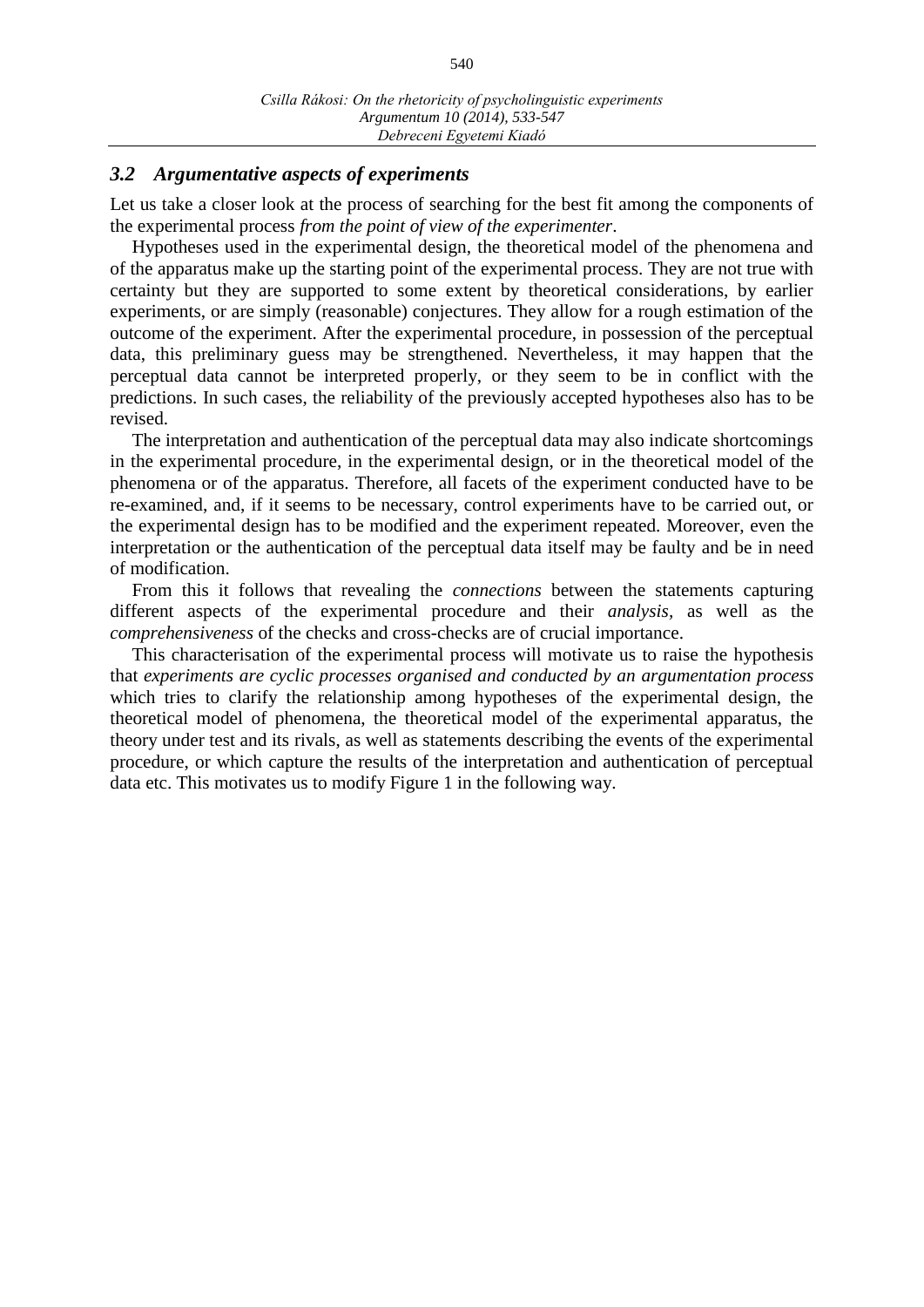## *3.2 Argumentative aspects of experiments*

Let us take a closer look at the process of searching for the best fit among the components of the experimental process *from the point of view of the experimenter*.

Hypotheses used in the experimental design, the theoretical model of the phenomena and of the apparatus make up the starting point of the experimental process. They are not true with certainty but they are supported to some extent by theoretical considerations, by earlier experiments, or are simply (reasonable) conjectures. They allow for a rough estimation of the outcome of the experiment. After the experimental procedure, in possession of the perceptual data, this preliminary guess may be strengthened. Nevertheless, it may happen that the perceptual data cannot be interpreted properly, or they seem to be in conflict with the predictions. In such cases, the reliability of the previously accepted hypotheses also has to be revised.

The interpretation and authentication of the perceptual data may also indicate shortcomings in the experimental procedure, in the experimental design, or in the theoretical model of the phenomena or of the apparatus. Therefore, all facets of the experiment conducted have to be re-examined, and, if it seems to be necessary, control experiments have to be carried out, or the experimental design has to be modified and the experiment repeated. Moreover, even the interpretation or the authentication of the perceptual data itself may be faulty and be in need of modification.

From this it follows that revealing the *connections* between the statements capturing different aspects of the experimental procedure and their *analysis,* as well as the *comprehensiveness* of the checks and cross-checks are of crucial importance.

This characterisation of the experimental process will motivate us to raise the hypothesis that *experiments are cyclic processes organised and conducted by an argumentation process* which tries to clarify the relationship among hypotheses of the experimental design, the theoretical model of phenomena, the theoretical model of the experimental apparatus, the theory under test and its rivals, as well as statements describing the events of the experimental procedure, or which capture the results of the interpretation and authentication of perceptual data etc. This motivates us to modify Figure 1 in the following way.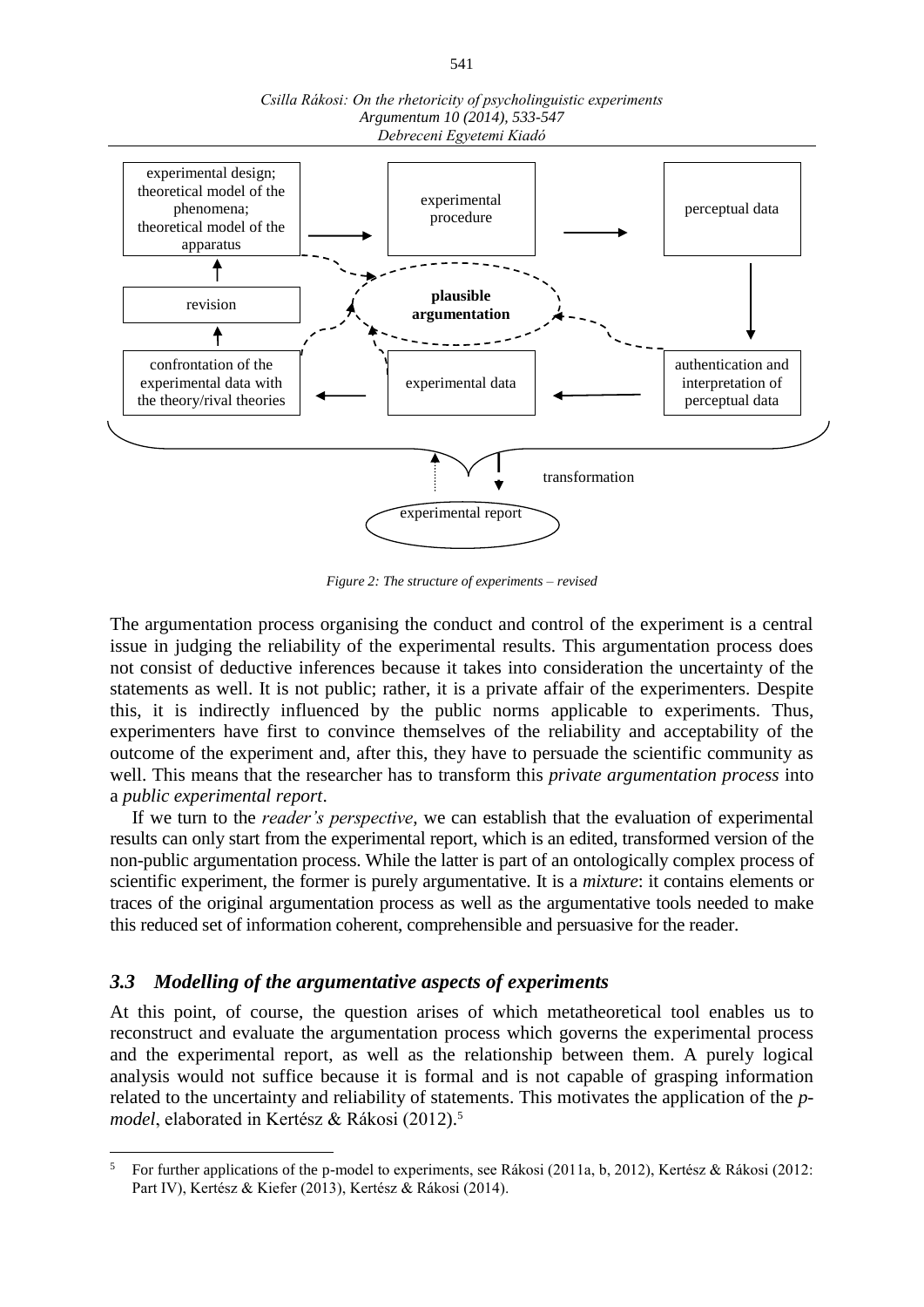

*Csilla Rákosi: On the rhetoricity of psycholinguistic experiments Argumentum 10 (2014), 533-547 Debreceni Egyetemi Kiadó*

*Figure 2: The structure of experiments – revised*

The argumentation process organising the conduct and control of the experiment is a central issue in judging the reliability of the experimental results. This argumentation process does not consist of deductive inferences because it takes into consideration the uncertainty of the statements as well. It is not public; rather, it is a private affair of the experimenters. Despite this, it is indirectly influenced by the public norms applicable to experiments. Thus, experimenters have first to convince themselves of the reliability and acceptability of the outcome of the experiment and, after this, they have to persuade the scientific community as well. This means that the researcher has to transform this *private argumentation process* into a *public experimental report*.

If we turn to the *reader's perspective*, we can establish that the evaluation of experimental results can only start from the experimental report, which is an edited, transformed version of the non-public argumentation process. While the latter is part of an ontologically complex process of scientific experiment, the former is purely argumentative. It is a *mixture*: it contains elements or traces of the original argumentation process as well as the argumentative tools needed to make this reduced set of information coherent, comprehensible and persuasive for the reader.

#### *3.3 Modelling of the argumentative aspects of experiments*

 $\overline{a}$ 

At this point, of course, the question arises of which metatheoretical tool enables us to reconstruct and evaluate the argumentation process which governs the experimental process and the experimental report, as well as the relationship between them. A purely logical analysis would not suffice because it is formal and is not capable of grasping information related to the uncertainty and reliability of statements. This motivates the application of the *pmodel*, elaborated in Kertész & Rákosi (2012).<sup>5</sup>

<sup>5</sup> For further applications of the p-model to experiments, see Rákosi (2011a, b, 2012), Kertész & Rákosi (2012: Part IV), Kertész & Kiefer (2013), Kertész & Rákosi (2014).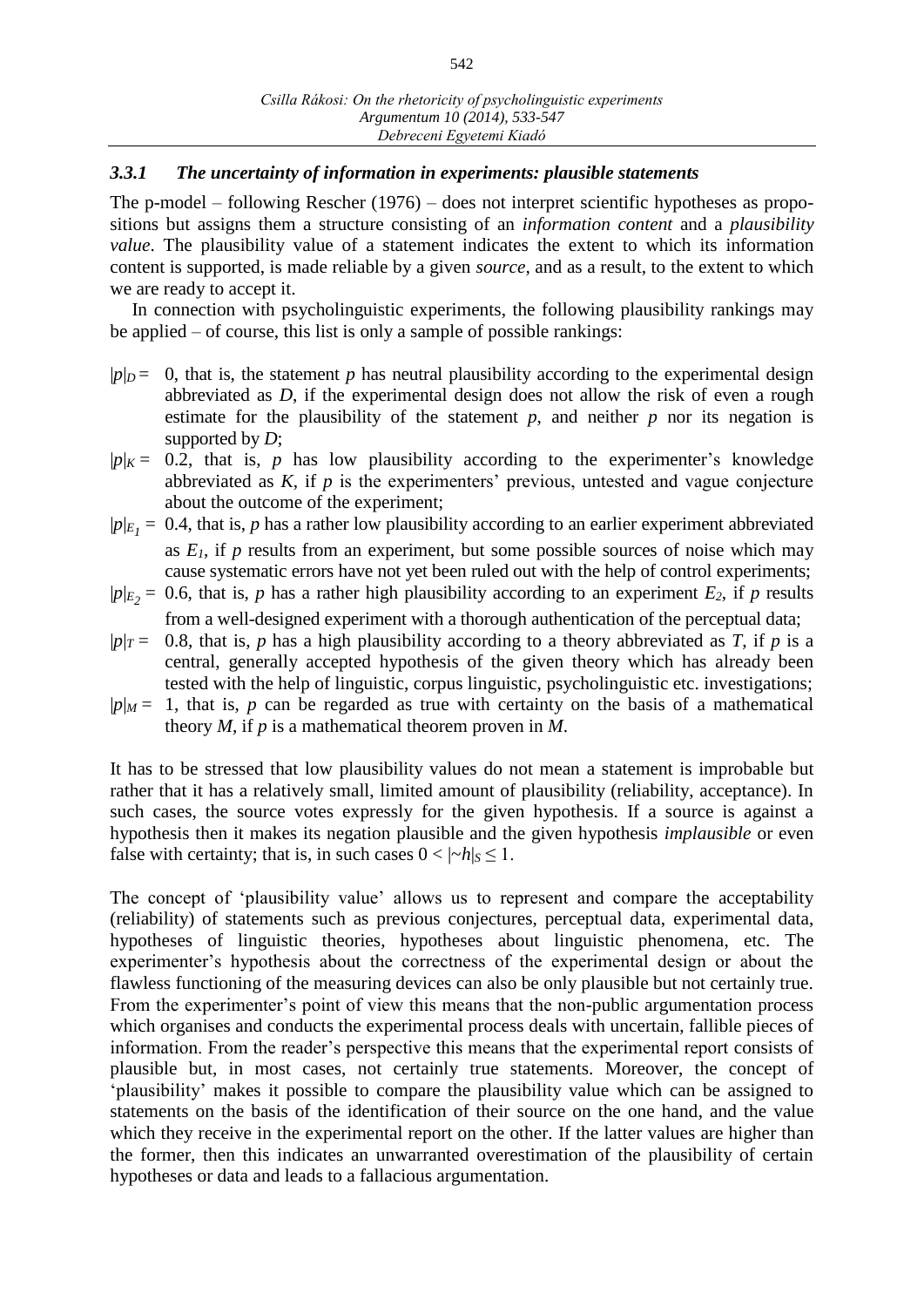### *3.3.1 The uncertainty of information in experiments: plausible statements*

The p-model – following Rescher (1976) – does not interpret scientific hypotheses as propositions but assigns them a structure consisting of an *information content* and a *plausibility value*. The plausibility value of a statement indicates the extent to which its information content is supported, is made reliable by a given *source*, and as a result, to the extent to which we are ready to accept it.

In connection with psycholinguistic experiments, the following plausibility rankings may be applied – of course, this list is only a sample of possible rankings:

- $|p|_D = 0$ , that is, the statement p has neutral plausibility according to the experimental design abbreviated as *D*, if the experimental design does not allow the risk of even a rough estimate for the plausibility of the statement  $p$ , and neither  $p$  nor its negation is supported by *D*;
- $|p|_K = 0.2$ , that is, *p* has low plausibility according to the experimenter's knowledge abbreviated as *K*, if *p* is the experimenters' previous, untested and vague conjecture about the outcome of the experiment;
- $|p|_{E_1} = 0.4$ , that is, *p* has a rather low plausibility according to an earlier experiment abbreviated as  $E_I$ , if  $p$  results from an experiment, but some possible sources of noise which may cause systematic errors have not yet been ruled out with the help of control experiments;
- $|p|_{E_2} = 0.6$ , that is, *p* has a rather high plausibility according to an experiment *E*<sub>2</sub>, if *p* results from a well-designed experiment with a thorough authentication of the perceptual data;
- $|p|_T$  = 0.8, that is, *p* has a high plausibility according to a theory abbreviated as *T*, if *p* is a central, generally accepted hypothesis of the given theory which has already been tested with the help of linguistic, corpus linguistic, psycholinguistic etc. investigations;
- $|p|_M = 1$ , that is, *p* can be regarded as true with certainty on the basis of a mathematical theory *M*, if *p* is a mathematical theorem proven in *M*.

It has to be stressed that low plausibility values do not mean a statement is improbable but rather that it has a relatively small, limited amount of plausibility (reliability, acceptance). In such cases, the source votes expressly for the given hypothesis. If a source is against a hypothesis then it makes its negation plausible and the given hypothesis *implausible* or even false with certainty; that is, in such cases  $0 < |-h|_S \le 1$ .

The concept of 'plausibility value' allows us to represent and compare the acceptability (reliability) of statements such as previous conjectures, perceptual data, experimental data, hypotheses of linguistic theories, hypotheses about linguistic phenomena, etc. The experimenter's hypothesis about the correctness of the experimental design or about the flawless functioning of the measuring devices can also be only plausible but not certainly true. From the experimenter's point of view this means that the non-public argumentation process which organises and conducts the experimental process deals with uncertain, fallible pieces of information. From the reader's perspective this means that the experimental report consists of plausible but, in most cases, not certainly true statements. Moreover, the concept of 'plausibility' makes it possible to compare the plausibility value which can be assigned to statements on the basis of the identification of their source on the one hand, and the value which they receive in the experimental report on the other. If the latter values are higher than the former, then this indicates an unwarranted overestimation of the plausibility of certain hypotheses or data and leads to a fallacious argumentation.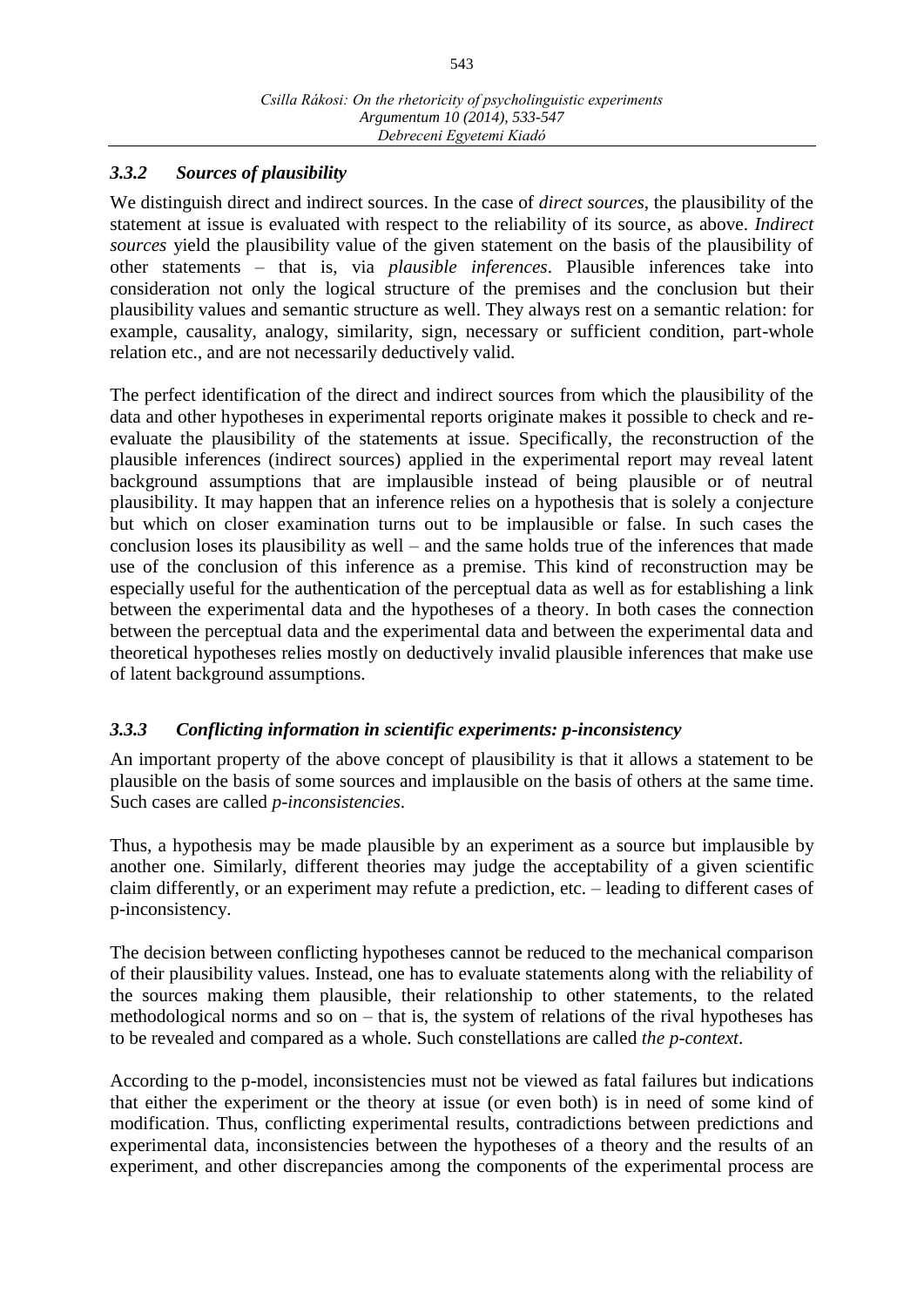## *3.3.2 Sources of plausibility*

We distinguish direct and indirect sources. In the case of *direct sources*, the plausibility of the statement at issue is evaluated with respect to the reliability of its source, as above. *Indirect sources* yield the plausibility value of the given statement on the basis of the plausibility of other statements – that is, via *plausible inferences*. Plausible inferences take into consideration not only the logical structure of the premises and the conclusion but their plausibility values and semantic structure as well. They always rest on a semantic relation: for example, causality, analogy, similarity, sign, necessary or sufficient condition, part-whole relation etc., and are not necessarily deductively valid.

The perfect identification of the direct and indirect sources from which the plausibility of the data and other hypotheses in experimental reports originate makes it possible to check and reevaluate the plausibility of the statements at issue. Specifically, the reconstruction of the plausible inferences (indirect sources) applied in the experimental report may reveal latent background assumptions that are implausible instead of being plausible or of neutral plausibility. It may happen that an inference relies on a hypothesis that is solely a conjecture but which on closer examination turns out to be implausible or false. In such cases the conclusion loses its plausibility as well – and the same holds true of the inferences that made use of the conclusion of this inference as a premise. This kind of reconstruction may be especially useful for the authentication of the perceptual data as well as for establishing a link between the experimental data and the hypotheses of a theory. In both cases the connection between the perceptual data and the experimental data and between the experimental data and theoretical hypotheses relies mostly on deductively invalid plausible inferences that make use of latent background assumptions.

## *3.3.3 Conflicting information in scientific experiments: p-inconsistency*

An important property of the above concept of plausibility is that it allows a statement to be plausible on the basis of some sources and implausible on the basis of others at the same time. Such cases are called *p-inconsistencies*.

Thus, a hypothesis may be made plausible by an experiment as a source but implausible by another one. Similarly, different theories may judge the acceptability of a given scientific claim differently, or an experiment may refute a prediction, etc. – leading to different cases of p-inconsistency.

The decision between conflicting hypotheses cannot be reduced to the mechanical comparison of their plausibility values. Instead, one has to evaluate statements along with the reliability of the sources making them plausible, their relationship to other statements, to the related methodological norms and so on – that is, the system of relations of the rival hypotheses has to be revealed and compared as a whole. Such constellations are called *the p-context*.

According to the p-model, inconsistencies must not be viewed as fatal failures but indications that either the experiment or the theory at issue (or even both) is in need of some kind of modification. Thus, conflicting experimental results, contradictions between predictions and experimental data, inconsistencies between the hypotheses of a theory and the results of an experiment, and other discrepancies among the components of the experimental process are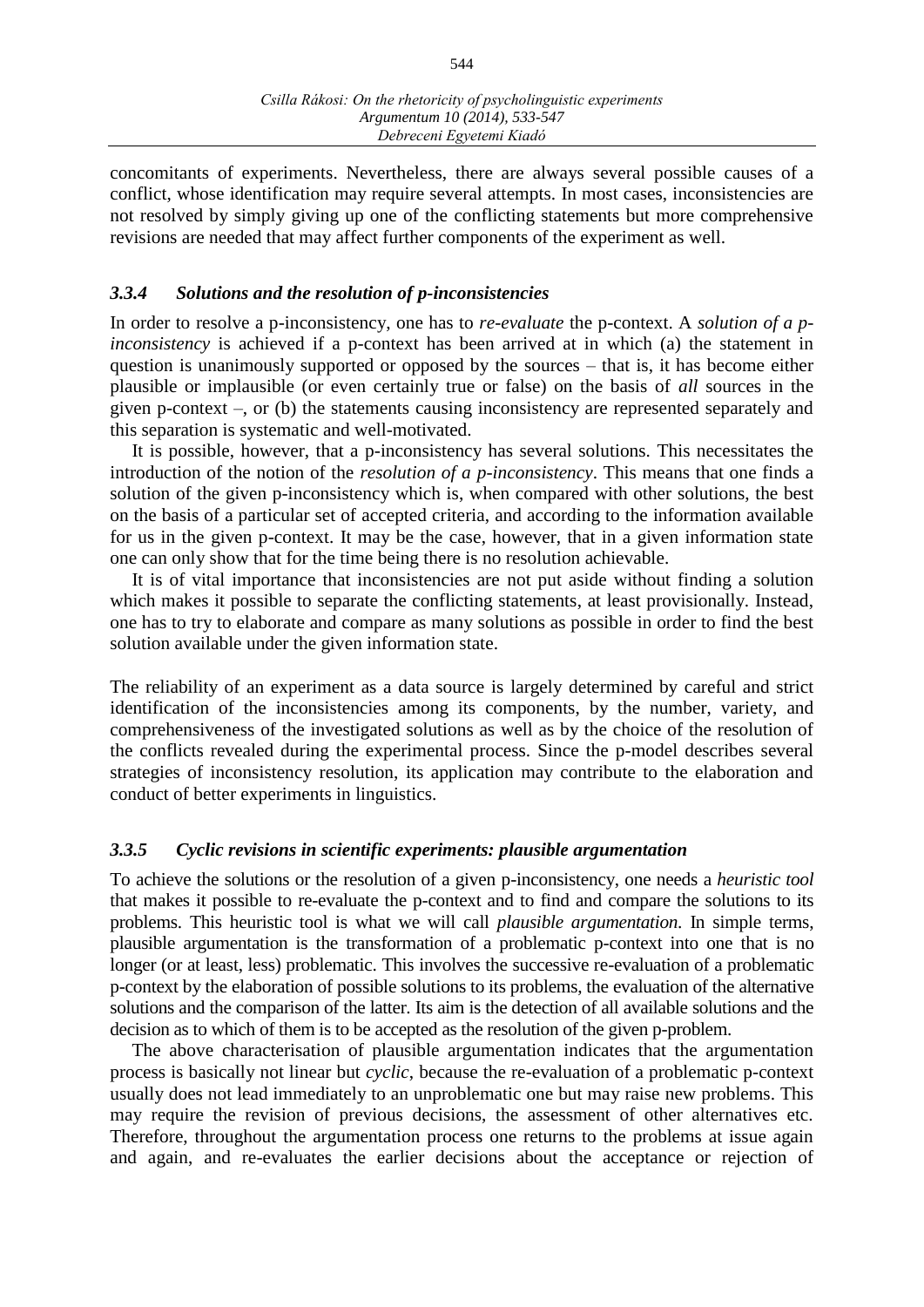concomitants of experiments. Nevertheless, there are always several possible causes of a conflict, whose identification may require several attempts. In most cases, inconsistencies are not resolved by simply giving up one of the conflicting statements but more comprehensive revisions are needed that may affect further components of the experiment as well.

#### *3.3.4 Solutions and the resolution of p-inconsistencies*

In order to resolve a p-inconsistency, one has to *re-evaluate* the p-context. A *solution of a pinconsistency* is achieved if a p-context has been arrived at in which (a) the statement in question is unanimously supported or opposed by the sources – that is, it has become either plausible or implausible (or even certainly true or false) on the basis of *all* sources in the given p-context –, or (b) the statements causing inconsistency are represented separately and this separation is systematic and well-motivated.

It is possible, however, that a p-inconsistency has several solutions. This necessitates the introduction of the notion of the *resolution of a p-inconsistency*. This means that one finds a solution of the given p-inconsistency which is, when compared with other solutions, the best on the basis of a particular set of accepted criteria, and according to the information available for us in the given p-context. It may be the case, however, that in a given information state one can only show that for the time being there is no resolution achievable.

It is of vital importance that inconsistencies are not put aside without finding a solution which makes it possible to separate the conflicting statements, at least provisionally. Instead, one has to try to elaborate and compare as many solutions as possible in order to find the best solution available under the given information state.

The reliability of an experiment as a data source is largely determined by careful and strict identification of the inconsistencies among its components, by the number, variety, and comprehensiveness of the investigated solutions as well as by the choice of the resolution of the conflicts revealed during the experimental process. Since the p-model describes several strategies of inconsistency resolution, its application may contribute to the elaboration and conduct of better experiments in linguistics.

#### *3.3.5 Cyclic revisions in scientific experiments: plausible argumentation*

To achieve the solutions or the resolution of a given p-inconsistency, one needs a *heuristic tool*  that makes it possible to re-evaluate the p-context and to find and compare the solutions to its problems. This heuristic tool is what we will call *plausible argumentation*. In simple terms, plausible argumentation is the transformation of a problematic p-context into one that is no longer (or at least, less) problematic. This involves the successive re-evaluation of a problematic p-context by the elaboration of possible solutions to its problems, the evaluation of the alternative solutions and the comparison of the latter. Its aim is the detection of all available solutions and the decision as to which of them is to be accepted as the resolution of the given p-problem.

The above characterisation of plausible argumentation indicates that the argumentation process is basically not linear but *cyclic*, because the re-evaluation of a problematic p-context usually does not lead immediately to an unproblematic one but may raise new problems. This may require the revision of previous decisions, the assessment of other alternatives etc. Therefore, throughout the argumentation process one returns to the problems at issue again and again, and re-evaluates the earlier decisions about the acceptance or rejection of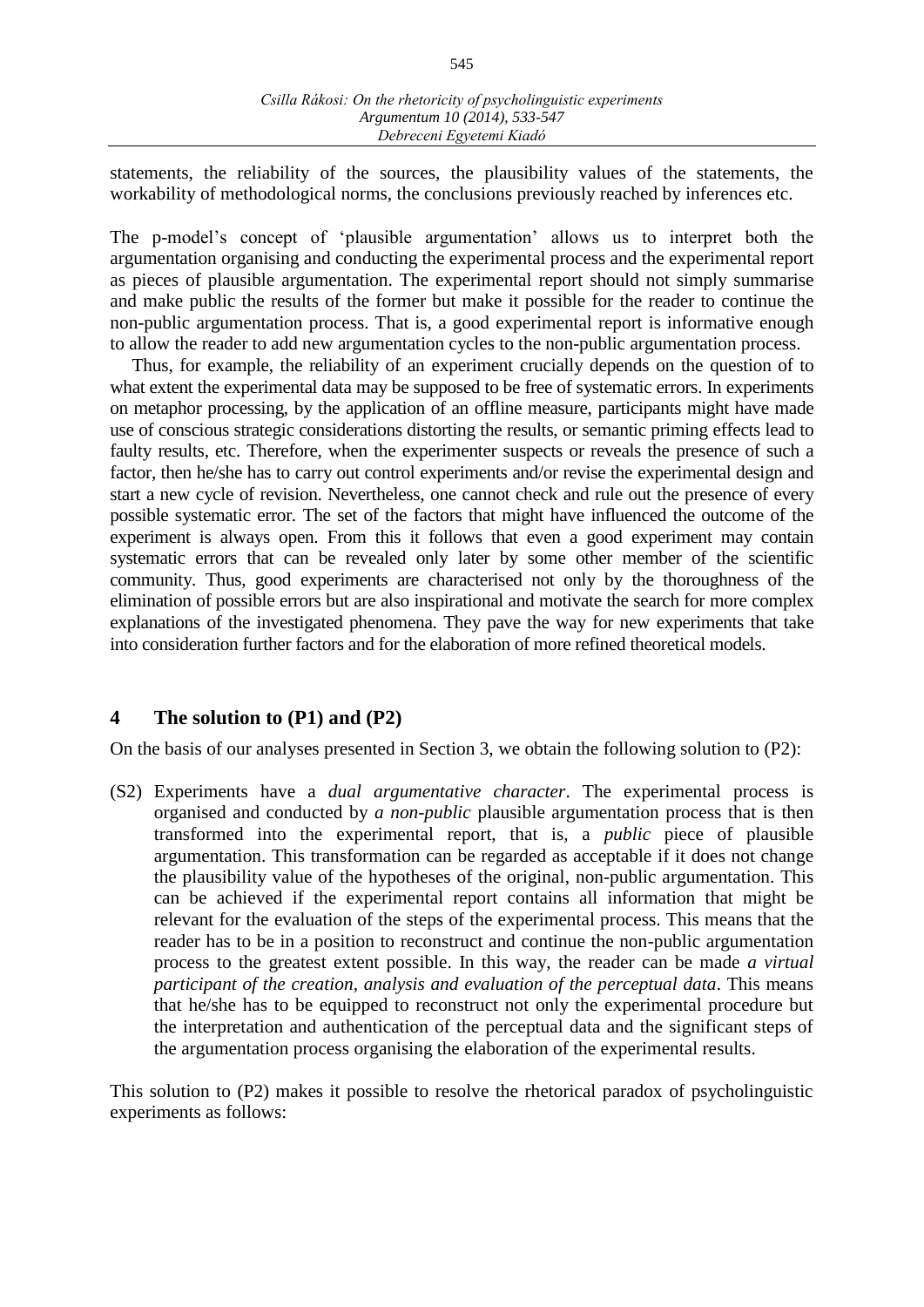statements, the reliability of the sources, the plausibility values of the statements, the workability of methodological norms, the conclusions previously reached by inferences etc.

The p-model's concept of 'plausible argumentation' allows us to interpret both the argumentation organising and conducting the experimental process and the experimental report as pieces of plausible argumentation. The experimental report should not simply summarise and make public the results of the former but make it possible for the reader to continue the non-public argumentation process. That is, a good experimental report is informative enough to allow the reader to add new argumentation cycles to the non-public argumentation process.

Thus, for example, the reliability of an experiment crucially depends on the question of to what extent the experimental data may be supposed to be free of systematic errors. In experiments on metaphor processing, by the application of an offline measure, participants might have made use of conscious strategic considerations distorting the results, or semantic priming effects lead to faulty results, etc. Therefore, when the experimenter suspects or reveals the presence of such a factor, then he/she has to carry out control experiments and/or revise the experimental design and start a new cycle of revision. Nevertheless, one cannot check and rule out the presence of every possible systematic error. The set of the factors that might have influenced the outcome of the experiment is always open. From this it follows that even a good experiment may contain systematic errors that can be revealed only later by some other member of the scientific community. Thus, good experiments are characterised not only by the thoroughness of the elimination of possible errors but are also inspirational and motivate the search for more complex explanations of the investigated phenomena. They pave the way for new experiments that take into consideration further factors and for the elaboration of more refined theoretical models.

## **4 The solution to (P1) and (P2)**

On the basis of our analyses presented in Section 3, we obtain the following solution to (P2):

(S2) Experiments have a *dual argumentative character*. The experimental process is organised and conducted by *a non-public* plausible argumentation process that is then transformed into the experimental report, that is, a *public* piece of plausible argumentation. This transformation can be regarded as acceptable if it does not change the plausibility value of the hypotheses of the original, non-public argumentation. This can be achieved if the experimental report contains all information that might be relevant for the evaluation of the steps of the experimental process. This means that the reader has to be in a position to reconstruct and continue the non-public argumentation process to the greatest extent possible. In this way, the reader can be made *a virtual participant of the creation, analysis and evaluation of the perceptual data*. This means that he/she has to be equipped to reconstruct not only the experimental procedure but the interpretation and authentication of the perceptual data and the significant steps of the argumentation process organising the elaboration of the experimental results.

This solution to (P2) makes it possible to resolve the rhetorical paradox of psycholinguistic experiments as follows: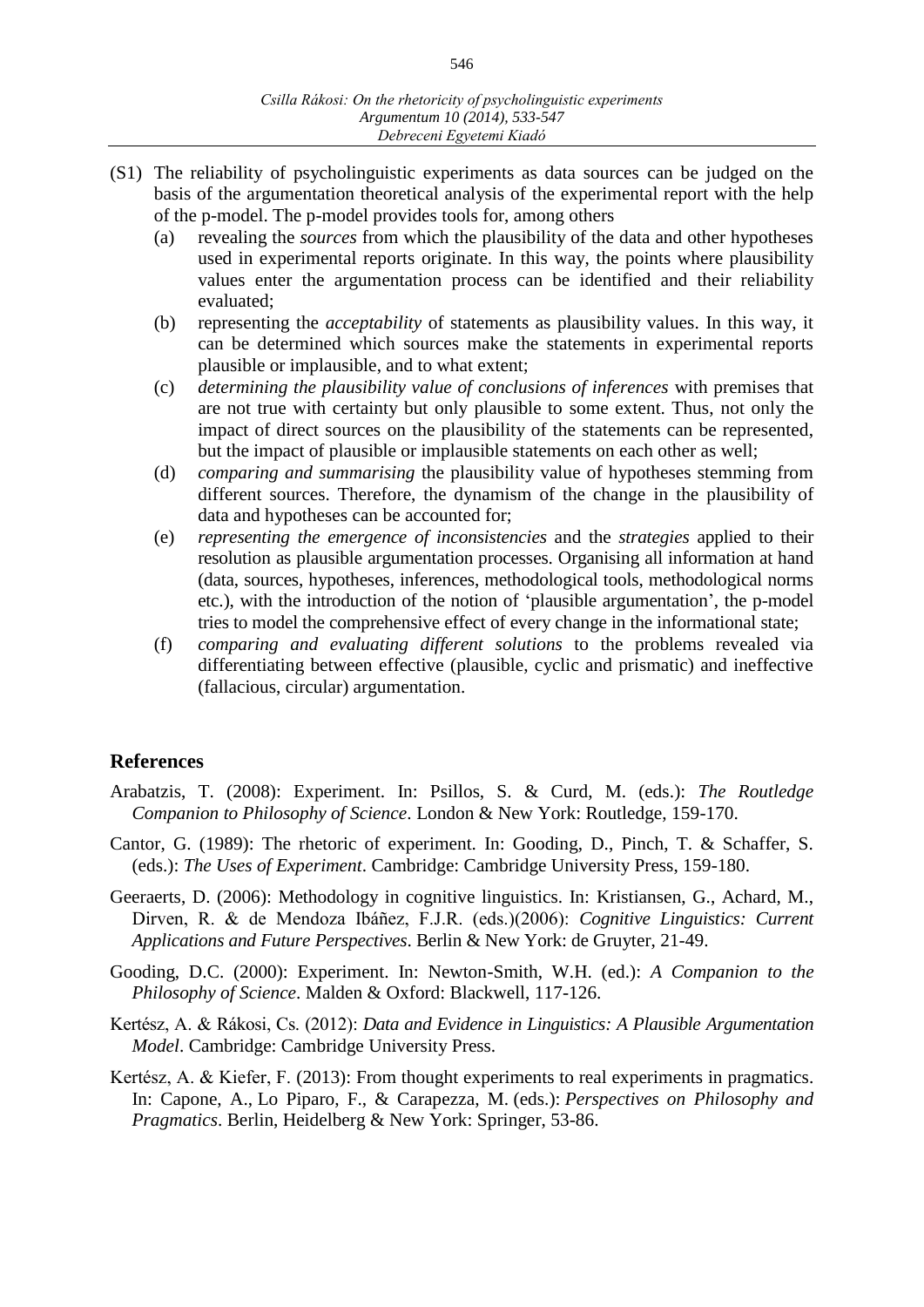- (S1) The reliability of psycholinguistic experiments as data sources can be judged on the basis of the argumentation theoretical analysis of the experimental report with the help of the p-model. The p-model provides tools for, among others
	- (a) revealing the *sources* from which the plausibility of the data and other hypotheses used in experimental reports originate. In this way, the points where plausibility values enter the argumentation process can be identified and their reliability evaluated;
	- (b) representing the *acceptability* of statements as plausibility values. In this way, it can be determined which sources make the statements in experimental reports plausible or implausible, and to what extent;
	- (c) *determining the plausibility value of conclusions of inferences* with premises that are not true with certainty but only plausible to some extent. Thus, not only the impact of direct sources on the plausibility of the statements can be represented, but the impact of plausible or implausible statements on each other as well;
	- (d) *comparing and summarising* the plausibility value of hypotheses stemming from different sources. Therefore, the dynamism of the change in the plausibility of data and hypotheses can be accounted for;
	- (e) *representing the emergence of inconsistencies* and the *strategies* applied to their resolution as plausible argumentation processes. Organising all information at hand (data, sources, hypotheses, inferences, methodological tools, methodological norms etc.), with the introduction of the notion of 'plausible argumentation', the p-model tries to model the comprehensive effect of every change in the informational state;
	- (f) *comparing and evaluating different solutions* to the problems revealed via differentiating between effective (plausible, cyclic and prismatic) and ineffective (fallacious, circular) argumentation.

## **References**

- Arabatzis, T. (2008): Experiment. In: Psillos, S. & Curd, M. (eds.): *The Routledge Companion to Philosophy of Science*. London & New York: Routledge, 159-170.
- Cantor, G. (1989): The rhetoric of experiment. In: Gooding, D., Pinch, T. & Schaffer, S. (eds.): *The Uses of Experiment*. Cambridge: Cambridge University Press, 159-180.
- Geeraerts, D. (2006): Methodology in cognitive linguistics. In: Kristiansen, G., Achard, M., Dirven, R. & de Mendoza Ibáñez, F.J.R. (eds.)(2006): *Cognitive Linguistics: Current Applications and Future Perspectives*. Berlin & New York: de Gruyter, 21-49.
- Gooding, D.C. (2000): Experiment. In: Newton-Smith, W.H. (ed.): *A Companion to the Philosophy of Science*. Malden & Oxford: Blackwell, 117-126.
- Kertész, A. & Rákosi, Cs. (2012): *Data and Evidence in Linguistics: A Plausible Argumentation Model*. Cambridge: Cambridge University Press.
- Kertész, A. & Kiefer, F. (2013): From thought experiments to real experiments in pragmatics. In: Capone, A., Lo Piparo, F., & Carapezza, M. (eds.): *Perspectives on Philosophy and Pragmatics*. Berlin, Heidelberg & New York: Springer, 53-86.